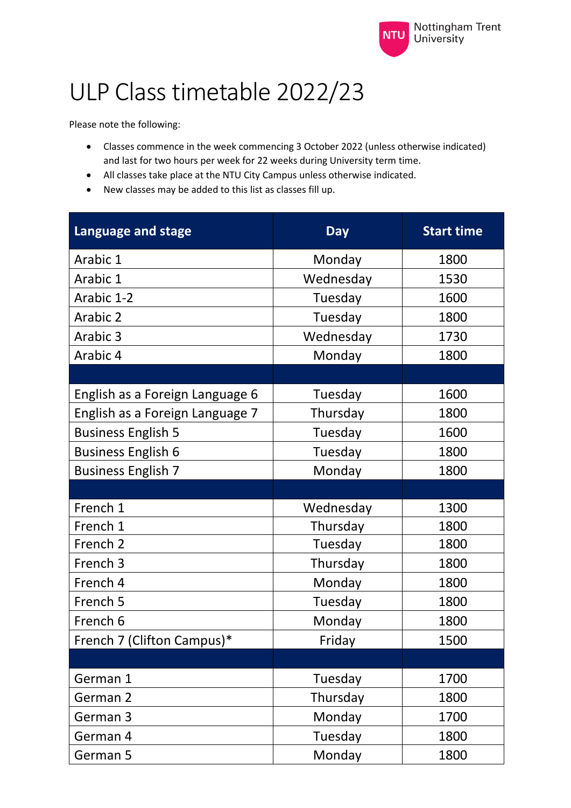

## ULP Class timetable 2022/23

Please note the following:

- Classes commence in the week commencing 3 October 2022 (unless otherwise indicated) and last for two hours per week for 22 weeks during University term time.
- All classes take place at the NTU City Campus unless otherwise indicated.
- New classes may be added to this list as classes fill up.

| <b>Language and stage</b>       | <b>Day</b> | <b>Start time</b> |
|---------------------------------|------------|-------------------|
| Arabic 1                        | Monday     | 1800              |
| Arabic 1                        | Wednesday  | 1530              |
| Arabic 1-2                      | Tuesday    | 1600              |
| Arabic 2                        | Tuesday    | 1800              |
| Arabic 3                        | Wednesday  | 1730              |
| Arabic 4                        | Monday     | 1800              |
|                                 |            |                   |
| English as a Foreign Language 6 | Tuesday    | 1600              |
| English as a Foreign Language 7 | Thursday   | 1800              |
| <b>Business English 5</b>       | Tuesday    | 1600              |
| <b>Business English 6</b>       | Tuesday    | 1800              |
| <b>Business English 7</b>       | Monday     | 1800              |
|                                 |            |                   |
| French 1                        | Wednesday  | 1300              |
| French 1                        | Thursday   | 1800              |
| French <sub>2</sub>             | Tuesday    | 1800              |
| French 3                        | Thursday   | 1800              |
| French 4                        | Monday     | 1800              |
| French 5                        | Tuesday    | 1800              |
| French 6                        | Monday     | 1800              |
| French 7 (Clifton Campus)*      | Friday     | 1500              |
|                                 |            |                   |
| German 1                        | Tuesday    | 1700              |
| German 2                        | Thursday   | 1800              |
| German 3                        | Monday     | 1700              |
| German 4                        | Tuesday    | 1800              |
| German 5                        | Monday     | 1800              |